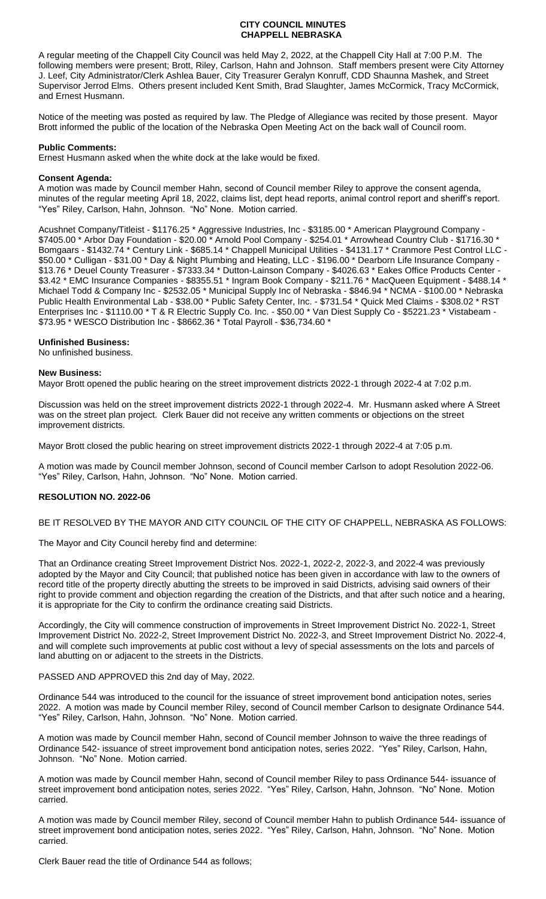## **CITY COUNCIL MINUTES CHAPPELL NEBRASKA**

A regular meeting of the Chappell City Council was held May 2, 2022, at the Chappell City Hall at 7:00 P.M. The following members were present; Brott, Riley, Carlson, Hahn and Johnson. Staff members present were City Attorney J. Leef, City Administrator/Clerk Ashlea Bauer, City Treasurer Geralyn Konruff, CDD Shaunna Mashek, and Street Supervisor Jerrod Elms. Others present included Kent Smith, Brad Slaughter, James McCormick, Tracy McCormick, and Ernest Husmann.

Notice of the meeting was posted as required by law. The Pledge of Allegiance was recited by those present. Mayor Brott informed the public of the location of the Nebraska Open Meeting Act on the back wall of Council room.

## **Public Comments:**

Ernest Husmann asked when the white dock at the lake would be fixed.

## **Consent Agenda:**

A motion was made by Council member Hahn, second of Council member Riley to approve the consent agenda, minutes of the regular meeting April 18, 2022, claims list, dept head reports, animal control report and sheriff's report. "Yes" Riley, Carlson, Hahn, Johnson. "No" None. Motion carried.

Acushnet Company/Titleist - \$1176.25 \* Aggressive Industries, Inc - \$3185.00 \* American Playground Company - \$7405.00 \* Arbor Day Foundation - \$20.00 \* Arnold Pool Company - \$254.01 \* Arrowhead Country Club - \$1716.30 \* Bomgaars - \$1432.74 \* Century Link - \$685.14 \* Chappell Municipal Utilities - \$4131.17 \* Cranmore Pest Control LLC - \$50.00 \* Culligan - \$31.00 \* Day & Night Plumbing and Heating, LLC - \$196.00 \* Dearborn Life Insurance Company - \$13.76 \* Deuel County Treasurer - \$7333.34 \* Dutton-Lainson Company - \$4026.63 \* Eakes Office Products Center -\$3.42 \* EMC Insurance Companies - \$8355.51 \* Ingram Book Company - \$211.76 \* MacQueen Equipment - \$488.14 \* Michael Todd & Company Inc - \$2532.05 \* Municipal Supply Inc of Nebraska - \$846.94 \* NCMA - \$100.00 \* Nebraska Public Health Environmental Lab - \$38.00 \* Public Safety Center, Inc. - \$731.54 \* Quick Med Claims - \$308.02 \* RST Enterprises Inc - \$1110.00 \* T & R Electric Supply Co. Inc. - \$50.00 \* Van Diest Supply Co - \$5221.23 \* Vistabeam - \$73.95 \* WESCO Distribution Inc - \$8662.36 \* Total Payroll - \$36,734.60 \*

## **Unfinished Business:**

No unfinished business.

#### **New Business:**

Mayor Brott opened the public hearing on the street improvement districts 2022-1 through 2022-4 at 7:02 p.m.

Discussion was held on the street improvement districts 2022-1 through 2022-4. Mr. Husmann asked where A Street was on the street plan project. Clerk Bauer did not receive any written comments or objections on the street improvement districts.

Mayor Brott closed the public hearing on street improvement districts 2022-1 through 2022-4 at 7:05 p.m.

A motion was made by Council member Johnson, second of Council member Carlson to adopt Resolution 2022-06. "Yes" Riley, Carlson, Hahn, Johnson. "No" None. Motion carried.

#### **RESOLUTION NO. 2022-06**

BE IT RESOLVED BY THE MAYOR AND CITY COUNCIL OF THE CITY OF CHAPPELL, NEBRASKA AS FOLLOWS:

The Mayor and City Council hereby find and determine:

That an Ordinance creating Street Improvement District Nos. 2022-1, 2022-2, 2022-3, and 2022-4 was previously adopted by the Mayor and City Council; that published notice has been given in accordance with law to the owners of record title of the property directly abutting the streets to be improved in said Districts, advising said owners of their right to provide comment and objection regarding the creation of the Districts, and that after such notice and a hearing, it is appropriate for the City to confirm the ordinance creating said Districts.

Accordingly, the City will commence construction of improvements in Street Improvement District No. 2022-1, Street Improvement District No. 2022-2, Street Improvement District No. 2022-3, and Street Improvement District No. 2022-4, and will complete such improvements at public cost without a levy of special assessments on the lots and parcels of land abutting on or adjacent to the streets in the Districts.

#### PASSED AND APPROVED this 2nd day of May, 2022.

Ordinance 544 was introduced to the council for the issuance of street improvement bond anticipation notes, series 2022. A motion was made by Council member Riley, second of Council member Carlson to designate Ordinance 544. "Yes" Riley, Carlson, Hahn, Johnson. "No" None. Motion carried.

A motion was made by Council member Hahn, second of Council member Johnson to waive the three readings of Ordinance 542- issuance of street improvement bond anticipation notes, series 2022. "Yes" Riley, Carlson, Hahn, Johnson. "No" None. Motion carried.

A motion was made by Council member Hahn, second of Council member Riley to pass Ordinance 544- issuance of street improvement bond anticipation notes, series 2022. "Yes" Riley, Carlson, Hahn, Johnson. "No" None. Motion carried.

A motion was made by Council member Riley, second of Council member Hahn to publish Ordinance 544- issuance of street improvement bond anticipation notes, series 2022. "Yes" Riley, Carlson, Hahn, Johnson. "No" None. Motion carried.

Clerk Bauer read the title of Ordinance 544 as follows;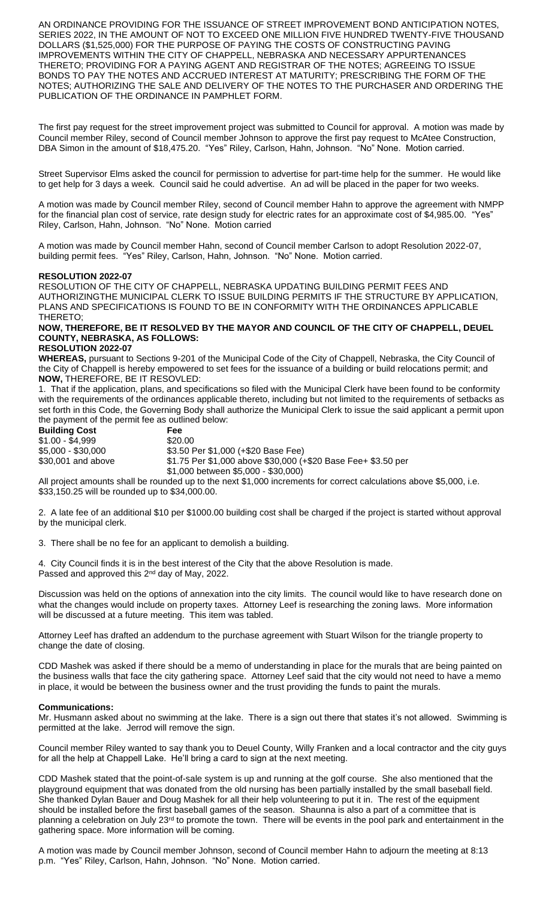AN ORDINANCE PROVIDING FOR THE ISSUANCE OF STREET IMPROVEMENT BOND ANTICIPATION NOTES, SERIES 2022, IN THE AMOUNT OF NOT TO EXCEED ONE MILLION FIVE HUNDRED TWENTY-FIVE THOUSAND DOLLARS (\$1,525,000) FOR THE PURPOSE OF PAYING THE COSTS OF CONSTRUCTING PAVING IMPROVEMENTS WITHIN THE CITY OF CHAPPELL, NEBRASKA AND NECESSARY APPURTENANCES THERETO; PROVIDING FOR A PAYING AGENT AND REGISTRAR OF THE NOTES; AGREEING TO ISSUE BONDS TO PAY THE NOTES AND ACCRUED INTEREST AT MATURITY; PRESCRIBING THE FORM OF THE NOTES; AUTHORIZING THE SALE AND DELIVERY OF THE NOTES TO THE PURCHASER AND ORDERING THE PUBLICATION OF THE ORDINANCE IN PAMPHLET FORM.

The first pay request for the street improvement project was submitted to Council for approval. A motion was made by Council member Riley, second of Council member Johnson to approve the first pay request to McAtee Construction, DBA Simon in the amount of \$18,475.20. "Yes" Riley, Carlson, Hahn, Johnson. "No" None. Motion carried.

Street Supervisor Elms asked the council for permission to advertise for part-time help for the summer. He would like to get help for 3 days a week. Council said he could advertise. An ad will be placed in the paper for two weeks.

A motion was made by Council member Riley, second of Council member Hahn to approve the agreement with NMPP for the financial plan cost of service, rate design study for electric rates for an approximate cost of \$4,985.00. "Yes" Riley, Carlson, Hahn, Johnson. "No" None. Motion carried

A motion was made by Council member Hahn, second of Council member Carlson to adopt Resolution 2022-07, building permit fees. "Yes" Riley, Carlson, Hahn, Johnson. "No" None. Motion carried.

## **RESOLUTION 2022-07**

RESOLUTION OF THE CITY OF CHAPPELL, NEBRASKA UPDATING BUILDING PERMIT FEES AND AUTHORIZINGTHE MUNICIPAL CLERK TO ISSUE BUILDING PERMITS IF THE STRUCTURE BY APPLICATION, PLANS AND SPECIFICATIONS IS FOUND TO BE IN CONFORMITY WITH THE ORDINANCES APPLICABLE THERETO;

# **NOW, THEREFORE, BE IT RESOLVED BY THE MAYOR AND COUNCIL OF THE CITY OF CHAPPELL, DEUEL COUNTY, NEBRASKA, AS FOLLOWS:**

## **RESOLUTION 2022-07**

**WHEREAS,** pursuant to Sections 9-201 of the Municipal Code of the City of Chappell, Nebraska, the City Council of the City of Chappell is hereby empowered to set fees for the issuance of a building or build relocations permit; and **NOW,** THEREFORE, BE IT RESOVLED:

1. That if the application, plans, and specifications so filed with the Municipal Clerk have been found to be conformity with the requirements of the ordinances applicable thereto, including but not limited to the requirements of setbacks as set forth in this Code, the Governing Body shall authorize the Municipal Clerk to issue the said applicant a permit upon the payment of the permit fee as outlined below:

| <b>Building Cost</b> | Fee                                                           |
|----------------------|---------------------------------------------------------------|
| \$1.00 - \$4,999     | \$20.00                                                       |
| \$5,000 - \$30,000   | \$3.50 Per \$1,000 (+\$20 Base Fee)                           |
| \$30,001 and above   | \$1.75 Per \$1,000 above \$30,000 (+\$20 Base Fee+ \$3.50 per |
|                      | \$1,000 between \$5,000 - \$30,000)                           |

All project amounts shall be rounded up to the next \$1,000 increments for correct calculations above \$5,000, i.e. \$33,150.25 will be rounded up to \$34,000.00.

2. A late fee of an additional \$10 per \$1000.00 building cost shall be charged if the project is started without approval by the municipal clerk.

3. There shall be no fee for an applicant to demolish a building.

4. City Council finds it is in the best interest of the City that the above Resolution is made. Passed and approved this 2<sup>nd</sup> day of May, 2022.

Discussion was held on the options of annexation into the city limits. The council would like to have research done on what the changes would include on property taxes. Attorney Leef is researching the zoning laws. More information will be discussed at a future meeting. This item was tabled.

Attorney Leef has drafted an addendum to the purchase agreement with Stuart Wilson for the triangle property to change the date of closing.

CDD Mashek was asked if there should be a memo of understanding in place for the murals that are being painted on the business walls that face the city gathering space. Attorney Leef said that the city would not need to have a memo in place, it would be between the business owner and the trust providing the funds to paint the murals.

#### **Communications:**

Mr. Husmann asked about no swimming at the lake. There is a sign out there that states it's not allowed. Swimming is permitted at the lake. Jerrod will remove the sign.

Council member Riley wanted to say thank you to Deuel County, Willy Franken and a local contractor and the city guys for all the help at Chappell Lake. He'll bring a card to sign at the next meeting.

CDD Mashek stated that the point-of-sale system is up and running at the golf course. She also mentioned that the playground equipment that was donated from the old nursing has been partially installed by the small baseball field. She thanked Dylan Bauer and Doug Mashek for all their help volunteering to put it in. The rest of the equipment should be installed before the first baseball games of the season. Shaunna is also a part of a committee that is planning a celebration on July 23<sup>rd</sup> to promote the town. There will be events in the pool park and entertainment in the gathering space. More information will be coming.

A motion was made by Council member Johnson, second of Council member Hahn to adjourn the meeting at 8:13 p.m. "Yes" Riley, Carlson, Hahn, Johnson. "No" None. Motion carried.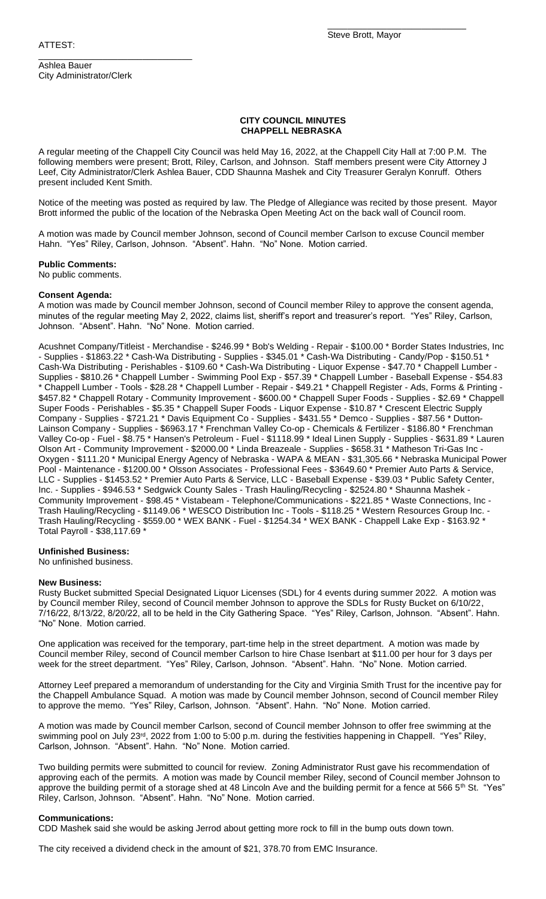Ashlea Bauer City Administrator/Clerk

\_\_\_\_\_\_\_\_\_\_\_\_\_\_\_\_\_\_\_\_\_\_\_\_\_\_\_\_\_\_\_

\_\_\_\_\_\_\_\_\_\_\_\_\_\_\_\_\_\_\_\_\_\_\_\_\_\_\_\_

### **CITY COUNCIL MINUTES CHAPPELL NEBRASKA**

A regular meeting of the Chappell City Council was held May 16, 2022, at the Chappell City Hall at 7:00 P.M. The following members were present; Brott, Riley, Carlson, and Johnson. Staff members present were City Attorney J Leef, City Administrator/Clerk Ashlea Bauer, CDD Shaunna Mashek and City Treasurer Geralyn Konruff. Others present included Kent Smith.

Notice of the meeting was posted as required by law. The Pledge of Allegiance was recited by those present. Mayor Brott informed the public of the location of the Nebraska Open Meeting Act on the back wall of Council room.

A motion was made by Council member Johnson, second of Council member Carlson to excuse Council member Hahn. "Yes" Riley, Carlson, Johnson. "Absent". Hahn. "No" None. Motion carried.

## **Public Comments:**

No public comments.

# **Consent Agenda:**

A motion was made by Council member Johnson, second of Council member Riley to approve the consent agenda, minutes of the regular meeting May 2, 2022, claims list, sheriff's report and treasurer's report. "Yes" Riley, Carlson, Johnson. "Absent". Hahn. "No" None. Motion carried.

Acushnet Company/Titleist - Merchandise - \$246.99 \* Bob's Welding - Repair - \$100.00 \* Border States Industries, Inc - Supplies - \$1863.22 \* Cash-Wa Distributing - Supplies - \$345.01 \* Cash-Wa Distributing - Candy/Pop - \$150.51 \* Cash-Wa Distributing - Perishables - \$109.60 \* Cash-Wa Distributing - Liquor Expense - \$47.70 \* Chappell Lumber - Supplies - \$810.26 \* Chappell Lumber - Swimming Pool Exp - \$57.39 \* Chappell Lumber - Baseball Expense - \$54.83 \* Chappell Lumber - Tools - \$28.28 \* Chappell Lumber - Repair - \$49.21 \* Chappell Register - Ads, Forms & Printing - \$457.82 \* Chappell Rotary - Community Improvement - \$600.00 \* Chappell Super Foods - Supplies - \$2.69 \* Chappell Super Foods - Perishables - \$5.35 \* Chappell Super Foods - Liquor Expense - \$10.87 \* Crescent Electric Supply Company - Supplies - \$721.21 \* Davis Equipment Co - Supplies - \$431.55 \* Demco - Supplies - \$87.56 \* Dutton-Lainson Company - Supplies - \$6963.17 \* Frenchman Valley Co-op - Chemicals & Fertilizer - \$186.80 \* Frenchman Valley Co-op - Fuel - \$8.75 \* Hansen's Petroleum - Fuel - \$1118.99 \* Ideal Linen Supply - Supplies - \$631.89 \* Lauren Olson Art - Community Improvement - \$2000.00 \* Linda Breazeale - Supplies - \$658.31 \* Matheson Tri-Gas Inc - Oxygen - \$111.20 \* Municipal Energy Agency of Nebraska - WAPA & MEAN - \$31,305.66 \* Nebraska Municipal Power Pool - Maintenance - \$1200.00 \* Olsson Associates - Professional Fees - \$3649.60 \* Premier Auto Parts & Service, LLC - Supplies - \$1453.52 \* Premier Auto Parts & Service, LLC - Baseball Expense - \$39.03 \* Public Safety Center, Inc. - Supplies - \$946.53 \* Sedgwick County Sales - Trash Hauling/Recycling - \$2524.80 \* Shaunna Mashek - Community Improvement - \$98.45 \* Vistabeam - Telephone/Communications - \$221.85 \* Waste Connections, Inc - Trash Hauling/Recycling - \$1149.06 \* WESCO Distribution Inc - Tools - \$118.25 \* Western Resources Group Inc. - Trash Hauling/Recycling - \$559.00 \* WEX BANK - Fuel - \$1254.34 \* WEX BANK - Chappell Lake Exp - \$163.92 \* Total Payroll - \$38,117.69 \*

## **Unfinished Business:**

No unfinished business.

#### **New Business:**

Rusty Bucket submitted Special Designated Liquor Licenses (SDL) for 4 events during summer 2022. A motion was by Council member Riley, second of Council member Johnson to approve the SDLs for Rusty Bucket on 6/10/22, 7/16/22, 8/13/22, 8/20/22, all to be held in the City Gathering Space. "Yes" Riley, Carlson, Johnson. "Absent". Hahn. "No" None. Motion carried.

One application was received for the temporary, part-time help in the street department. A motion was made by Council member Riley, second of Council member Carlson to hire Chase Isenbart at \$11.00 per hour for 3 days per week for the street department. "Yes" Riley, Carlson, Johnson. "Absent". Hahn. "No" None. Motion carried.

Attorney Leef prepared a memorandum of understanding for the City and Virginia Smith Trust for the incentive pay for the Chappell Ambulance Squad. A motion was made by Council member Johnson, second of Council member Riley to approve the memo. "Yes" Riley, Carlson, Johnson. "Absent". Hahn. "No" None. Motion carried.

A motion was made by Council member Carlson, second of Council member Johnson to offer free swimming at the swimming pool on July 23rd, 2022 from 1:00 to 5:00 p.m. during the festivities happening in Chappell. "Yes" Riley, Carlson, Johnson. "Absent". Hahn. "No" None. Motion carried.

Two building permits were submitted to council for review. Zoning Administrator Rust gave his recommendation of approving each of the permits. A motion was made by Council member Riley, second of Council member Johnson to approve the building permit of a storage shed at 48 Lincoln Ave and the building permit for a fence at 566 5<sup>th</sup> St. "Yes" Riley, Carlson, Johnson. "Absent". Hahn. "No" None. Motion carried.

#### **Communications:**

CDD Mashek said she would be asking Jerrod about getting more rock to fill in the bump outs down town.

The city received a dividend check in the amount of \$21, 378.70 from EMC Insurance.